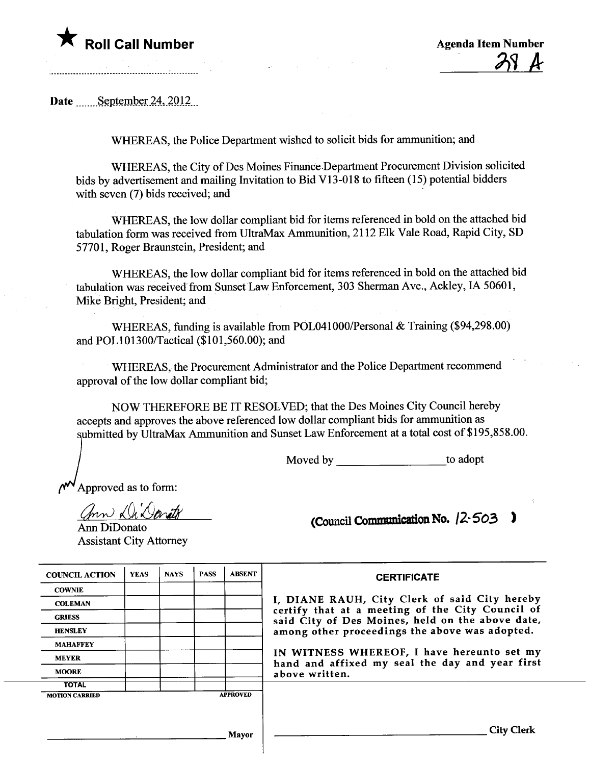

Date  $\qquad$  September 24, 2012

WHEREAS, the Police Department wished to solicit bids for ammunition; and

WHEREAS, the City of Des Moines Finance.Deparment Procurement Division solicited bids by advertisement and mailing Invitation to Bid V13-018 to fifteen (15) potential bidders with seven (7) bids received; and

WHEREAS, the low dollar compliant bid for items referenced in bold on the attached bid tabulation form was received from UltraMax Ammunition, 2112 Elk Vale Road, Rapid City, SD 57701, Roger Braunstein, President; and

WHEREAS, the low dollar compliant bid for items referenced in bold on the attached bid tabulation was received from Sunset Law Enforcement, 303 Sherman Ave., Ackley, IA 50601, Mike Bright, President; and

WHEREAS, funding is available from POL041000/Personal & Training (\$94,298.00) and POLI01300/Tactical (\$101,560.00); and

WHEREAS, the Procurement Administrator and the Police Deparment recommend approval of the low dollar compliant bid;

NOW THEREFORE BE IT RESOLVED; that the Des Moines City Council hereby accepts and approves the above referenced low dollar compliant bids for ammuntion as submitted by UltraMax Ammunition and Sunset Law Enforcement at a total cost of \$195,858.00.

Moved by to adopt

Approved as to form:

Sproved as to form!

Ann DiDonato Assistant City Attorney

(Council Communication No.  $(2.503)$ 

| <b>COUNCIL ACTION</b> | <b>YEAS</b> | <b>NAYS</b>     | <b>PASS</b> | <b>ABSENT</b> |  |  |  |
|-----------------------|-------------|-----------------|-------------|---------------|--|--|--|
| <b>COWNIE</b>         |             |                 |             |               |  |  |  |
| <b>COLEMAN</b>        |             |                 |             |               |  |  |  |
| <b>GRIESS</b>         |             |                 |             |               |  |  |  |
| <b>HENSLEY</b>        |             |                 |             |               |  |  |  |
| <b>MAHAFFEY</b>       |             |                 |             |               |  |  |  |
| <b>MEYER</b>          |             |                 |             |               |  |  |  |
| <b>MOORE</b>          |             |                 |             |               |  |  |  |
| <b>TOTAL</b>          |             |                 |             |               |  |  |  |
| <b>MOTION CARRIED</b> |             | <b>APPROVED</b> |             |               |  |  |  |

**CERTIFICATE** 

, DIANE RAUH, City Clerk of said City hereby certify that at a meeting of the City Council of said City of Des Moines, held on the above date, among other proceedings the above was adopted.

N WITNESS WHEREOF, I have hereunto set my hand and affixed my seal the day and year first above written.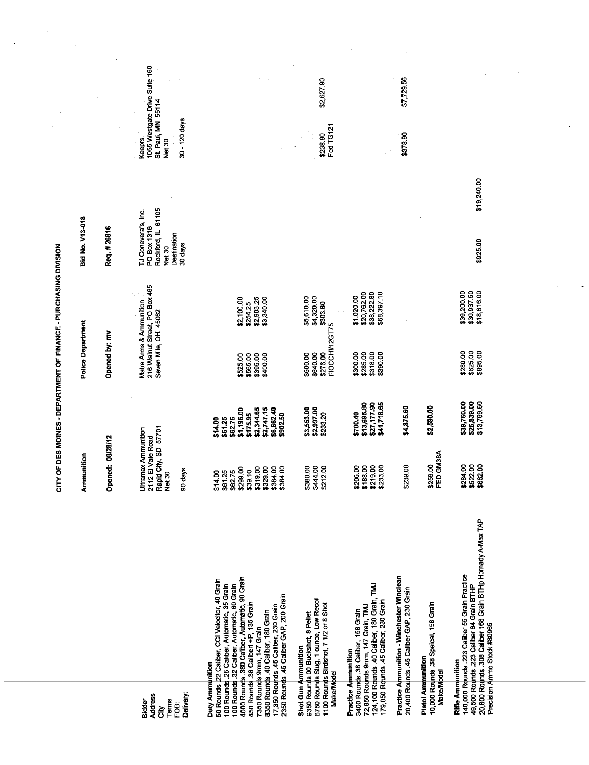|                                                               |                                                                                                                                                                                                                                                                                                                                                                                                                |                                                                                                      |                                                                                                               |                                                    | CITY OF DES MOINES - DEPARTMENT OF FINANCE - PURCHASING DIVISION                       |                                                                                              |                                                         |                               |  |
|---------------------------------------------------------------|----------------------------------------------------------------------------------------------------------------------------------------------------------------------------------------------------------------------------------------------------------------------------------------------------------------------------------------------------------------------------------------------------------------|------------------------------------------------------------------------------------------------------|---------------------------------------------------------------------------------------------------------------|----------------------------------------------------|----------------------------------------------------------------------------------------|----------------------------------------------------------------------------------------------|---------------------------------------------------------|-------------------------------|--|
|                                                               |                                                                                                                                                                                                                                                                                                                                                                                                                | Ammunition                                                                                           |                                                                                                               | Police Department                                  |                                                                                        | <b>Bid No. V13-018</b>                                                                       |                                                         |                               |  |
|                                                               |                                                                                                                                                                                                                                                                                                                                                                                                                | /28/12<br>Opened: 08                                                                                 |                                                                                                               | Opened by: mv                                      |                                                                                        | Req. #26816                                                                                  |                                                         |                               |  |
| Delivery:<br><b>Address</b><br>Terms<br>Bidder<br>ë<br>P<br>ξ |                                                                                                                                                                                                                                                                                                                                                                                                                | Rapid City, SD 57701<br><b>Ultramax Ammunition</b><br>2112 El Vale Road<br>90 days<br>Net 30         |                                                                                                               |                                                    | Matre Arms & Ammunition<br>216 Walnut Street, PO Box 465<br>Seven Mile, OH 45062<br>v, | Rockford, IL 61105<br>TJ Conevera's, Inc.<br>PO Box 1316<br>Destination<br>30 days<br>Net 30 | St. Paul, MN 55114<br>30 - 120 days<br>Keeprs<br>Net 30 | 1055 Westgate Drive Suite 160 |  |
|                                                               | 100 Rounds .25 Caliber, Automatic, 35 Grain<br>100 Rounds .32 Caliber, Automatic, 60 Grain<br>4000 Rounds .380 Caliber, Automatic, 90 Grain<br>450 Rounds .38 Calibert +P, 135 Grain<br>Duty Ammunition<br>50 Rounds 22 Caliber, CCI Velocitor, 40 Grain<br>7350 Rounds 9mm, 147 Grain<br>8350 Rounds .40 Caliber, 180 Grain<br>17,350 Rounds .45 Caliber, 230 Grain<br>2350 Rounds .45 Caliber GAP, 200 Grain | \$384.00<br>\$299.00<br>\$319.00<br>\$329.00<br>\$384.00<br>\$39.10<br>\$61.25<br>\$62.75<br>\$14.00 | \$1,196.00<br>\$2,344.65<br>\$2,747.15<br>\$6,662.40<br>\$175.95<br>\$902.50<br>\$61.25<br>\$62.75<br>\$14.00 | \$565.00<br>\$395.00<br>\$400.00<br>\$525.00       | \$2,100.00<br>\$2,903.25<br>\$3,340.00<br>\$254.25                                     |                                                                                              |                                                         |                               |  |
| Shot Gun Ammunition<br><b>Make/Model</b>                      | 9350 Rounds 00 Buckshot, 8 Pellet<br>6750 Rounds Slug, 1 ounce, Low Recoil<br>1100 Rounds Birdshot, 7 1/2 or 8 Shot                                                                                                                                                                                                                                                                                            | \$380.00<br>\$444.00<br>\$212.00                                                                     | \$3,553.00<br>\$2,997.00<br>\$233.20                                                                          | FIOCCHI/12GT75<br>\$600.00<br>\$640.00<br>\$276.00 | \$5,610.00<br>\$4,320.00<br>\$303.60                                                   |                                                                                              | Fed TG121<br>\$238.90                                   | \$2,627.90                    |  |
| <b>Practice Ammunition</b>                                    | 3400 Rounds .38 Caliber, 158 Grain<br>72,850 Rounds 9mm, 147 Grain, TMJ<br>124,100 Rounds .40 Caliber, 180 Grain, TMJ<br>179,050 Rounds .45 Caliber, 230 Grain                                                                                                                                                                                                                                                 | \$188.00<br>\$219.00<br>\$233.00<br>\$206.00                                                         | \$13,695.80<br>\$27,177.90<br>\$41,718.65<br>\$700.40                                                         | \$300.00<br>\$285.00<br>\$318.00<br>\$390.00       | \$20,762.00<br>\$38,222.80<br>\$68,397.10<br>\$1,020.00                                |                                                                                              |                                                         |                               |  |
|                                                               | <b>Practice Ammunition - Winchester Winclean</b><br>20,400 Rounds .45 Caliber GAP, 230 Grain                                                                                                                                                                                                                                                                                                                   | \$239.00                                                                                             | \$4,875.60                                                                                                    |                                                    |                                                                                        |                                                                                              | \$378.90                                                | \$7,729.56                    |  |
| Pistol Ammunition<br>Make/Model                               | 10,000 Rounds .38 Speical, 158 Grain                                                                                                                                                                                                                                                                                                                                                                           | \$259.00<br>FED GM38A                                                                                | \$2,590.00                                                                                                    |                                                    |                                                                                        |                                                                                              |                                                         |                               |  |
| Rifle Ammunition                                              | 140,000 Rounds .223 Caliber 55 Grain Practice<br>49,500 Rounds .223 Caliber 64 Grain BTHP<br>20,800 Rounds .308 Caliber 168 Grain BTHp Hornady A-Max TAP<br>Precision Ammo Stock #80965                                                                                                                                                                                                                        | \$284.00<br>\$522.00<br>\$662.00                                                                     | \$39,760.00<br>\$25,839.00<br>\$13,769.60                                                                     | \$280.00<br>\$625.00<br>\$895.00                   | \$39,200.00<br>\$30,937.50<br>\$18,616.00                                              | \$19,240.00<br>\$925.00                                                                      |                                                         |                               |  |
|                                                               |                                                                                                                                                                                                                                                                                                                                                                                                                |                                                                                                      |                                                                                                               |                                                    |                                                                                        |                                                                                              |                                                         |                               |  |
|                                                               |                                                                                                                                                                                                                                                                                                                                                                                                                |                                                                                                      |                                                                                                               |                                                    |                                                                                        |                                                                                              |                                                         |                               |  |
|                                                               |                                                                                                                                                                                                                                                                                                                                                                                                                |                                                                                                      |                                                                                                               |                                                    |                                                                                        |                                                                                              |                                                         |                               |  |